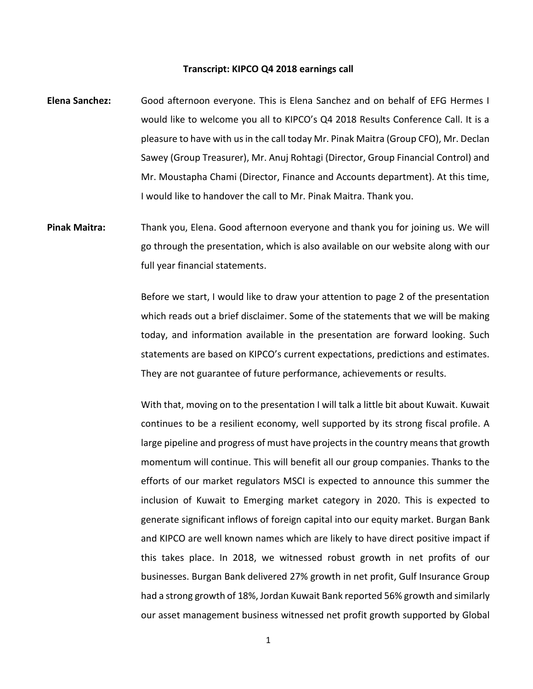## **Transcript: KIPCO Q4 2018 earnings call**

- **Elena Sanchez:** Good afternoon everyone. This is Elena Sanchez and on behalf of EFG Hermes I would like to welcome you all to KIPCO's Q4 2018 Results Conference Call. It is a pleasure to have with us in the call today Mr. Pinak Maitra (Group CFO), Mr. Declan Sawey (Group Treasurer), Mr. Anuj Rohtagi (Director, Group Financial Control) and Mr. Moustapha Chami (Director, Finance and Accounts department). At this time, I would like to handover the call to Mr. Pinak Maitra. Thank you.
- **Pinak Maitra:** Thank you, Elena. Good afternoon everyone and thank you for joining us. We will go through the presentation, which is also available on our website along with our full year financial statements.

Before we start, I would like to draw your attention to page 2 of the presentation which reads out a brief disclaimer. Some of the statements that we will be making today, and information available in the presentation are forward looking. Such statements are based on KIPCO's current expectations, predictions and estimates. They are not guarantee of future performance, achievements or results.

With that, moving on to the presentation I will talk a little bit about Kuwait. Kuwait continues to be a resilient economy, well supported by its strong fiscal profile. A large pipeline and progress of must have projects in the country means that growth momentum will continue. This will benefit all our group companies. Thanks to the efforts of our market regulators MSCI is expected to announce this summer the inclusion of Kuwait to Emerging market category in 2020. This is expected to generate significant inflows of foreign capital into our equity market. Burgan Bank and KIPCO are well known names which are likely to have direct positive impact if this takes place. In 2018, we witnessed robust growth in net profits of our businesses. Burgan Bank delivered 27% growth in net profit, Gulf Insurance Group had a strong growth of 18%, Jordan Kuwait Bank reported 56% growth and similarly our asset management business witnessed net profit growth supported by Global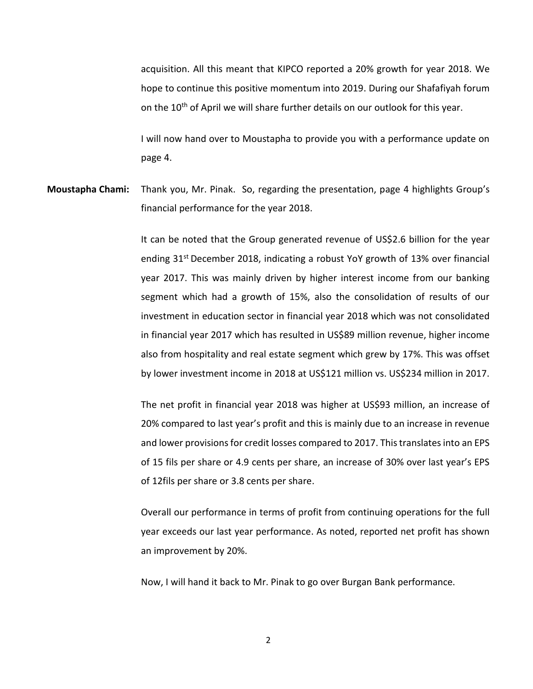acquisition. All this meant that KIPCO reported a 20% growth for year 2018. We hope to continue this positive momentum into 2019. During our Shafafiyah forum on the  $10^{th}$  of April we will share further details on our outlook for this year.

I will now hand over to Moustapha to provide you with a performance update on page 4.

**Moustapha Chami:** Thank you, Mr. Pinak. So, regarding the presentation, page 4 highlights Group's financial performance for the year 2018.

> It can be noted that the Group generated revenue of US\$2.6 billion for the year ending 31<sup>st</sup> December 2018, indicating a robust YoY growth of 13% over financial year 2017. This was mainly driven by higher interest income from our banking segment which had a growth of 15%, also the consolidation of results of our investment in education sector in financial year 2018 which was not consolidated in financial year 2017 which has resulted in US\$89 million revenue, higher income also from hospitality and real estate segment which grew by 17%. This was offset by lower investment income in 2018 at US\$121 million vs. US\$234 million in 2017.

> The net profit in financial year 2018 was higher at US\$93 million, an increase of 20% compared to last year's profit and this is mainly due to an increase in revenue and lower provisions for credit losses compared to 2017. This translates into an EPS of 15 fils per share or 4.9 cents per share, an increase of 30% over last year's EPS of 12fils per share or 3.8 cents per share.

> Overall our performance in terms of profit from continuing operations for the full year exceeds our last year performance. As noted, reported net profit has shown an improvement by 20%.

Now, I will hand it back to Mr. Pinak to go over Burgan Bank performance.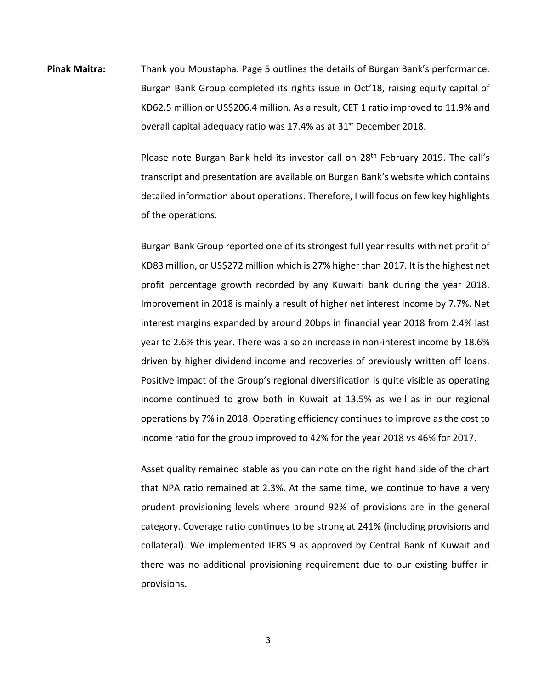**Pinak Maitra:** Thank you Moustapha. Page 5 outlines the details of Burgan Bank's performance. Burgan Bank Group completed its rights issue in Oct'18, raising equity capital of KD62.5 million or US\$206.4 million. As a result, CET 1 ratio improved to 11.9% and overall capital adequacy ratio was 17.4% as at  $31<sup>st</sup>$  December 2018.

> Please note Burgan Bank held its investor call on 28<sup>th</sup> February 2019. The call's transcript and presentation are available on Burgan Bank's website which contains detailed information about operations. Therefore, I will focus on few key highlights of the operations.

> Burgan Bank Group reported one of its strongest full year results with net profit of KD83 million, or US\$272 million which is 27% higher than 2017. It is the highest net profit percentage growth recorded by any Kuwaiti bank during the year 2018. Improvement in 2018 is mainly a result of higher net interest income by 7.7%. Net interest margins expanded by around 20bps in financial year 2018 from 2.4% last year to 2.6% this year. There was also an increase in non-interest income by 18.6% driven by higher dividend income and recoveries of previously written off loans. Positive impact of the Group's regional diversification is quite visible as operating income continued to grow both in Kuwait at 13.5% as well as in our regional operations by 7% in 2018. Operating efficiency continues to improve as the cost to income ratio for the group improved to 42% for the year 2018 vs 46% for 2017.

> Asset quality remained stable as you can note on the right hand side of the chart that NPA ratio remained at 2.3%. At the same time, we continue to have a very prudent provisioning levels where around 92% of provisions are in the general category. Coverage ratio continues to be strong at 241% (including provisions and collateral). We implemented IFRS 9 as approved by Central Bank of Kuwait and there was no additional provisioning requirement due to our existing buffer in provisions.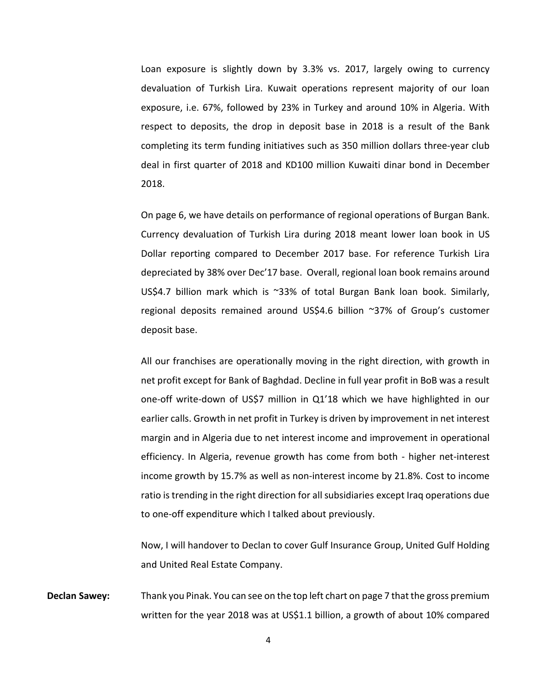Loan exposure is slightly down by 3.3% vs. 2017, largely owing to currency devaluation of Turkish Lira. Kuwait operations represent majority of our loan exposure, i.e. 67%, followed by 23% in Turkey and around 10% in Algeria. With respect to deposits, the drop in deposit base in 2018 is a result of the Bank completing its term funding initiatives such as 350 million dollars three-year club deal in first quarter of 2018 and KD100 million Kuwaiti dinar bond in December 2018.

On page 6, we have details on performance of regional operations of Burgan Bank. Currency devaluation of Turkish Lira during 2018 meant lower loan book in US Dollar reporting compared to December 2017 base. For reference Turkish Lira depreciated by 38% over Dec'17 base. Overall, regional loan book remains around US\$4.7 billion mark which is ~33% of total Burgan Bank loan book. Similarly, regional deposits remained around US\$4.6 billion ~37% of Group's customer deposit base.

All our franchises are operationally moving in the right direction, with growth in net profit except for Bank of Baghdad. Decline in full year profit in BoB was a result one-off write-down of US\$7 million in Q1'18 which we have highlighted in our earlier calls. Growth in net profit in Turkey is driven by improvement in net interest margin and in Algeria due to net interest income and improvement in operational efficiency. In Algeria, revenue growth has come from both - higher net-interest income growth by 15.7% as well as non-interest income by 21.8%. Cost to income ratio is trending in the right direction for all subsidiaries except Iraq operations due to one-off expenditure which I talked about previously.

Now, I will handover to Declan to cover Gulf Insurance Group, United Gulf Holding and United Real Estate Company.

**Declan Sawey:** Thank you Pinak. You can see on the top left chart on page 7 that the gross premium written for the year 2018 was at US\$1.1 billion, a growth of about 10% compared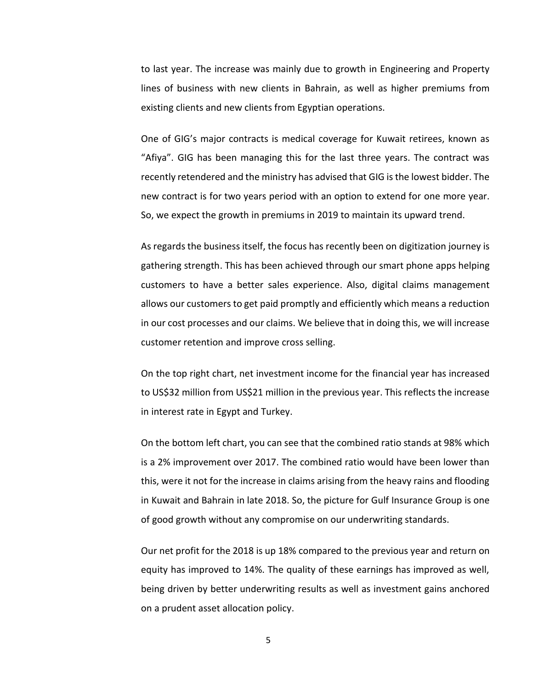to last year. The increase was mainly due to growth in Engineering and Property lines of business with new clients in Bahrain, as well as higher premiums from existing clients and new clients from Egyptian operations.

One of GIG's major contracts is medical coverage for Kuwait retirees, known as "Afiya". GIG has been managing this for the last three years. The contract was recently retendered and the ministry has advised that GIG is the lowest bidder. The new contract is for two years period with an option to extend for one more year. So, we expect the growth in premiums in 2019 to maintain its upward trend.

As regards the business itself, the focus has recently been on digitization journey is gathering strength. This has been achieved through our smart phone apps helping customers to have a better sales experience. Also, digital claims management allows our customers to get paid promptly and efficiently which means a reduction in our cost processes and our claims. We believe that in doing this, we will increase customer retention and improve cross selling.

On the top right chart, net investment income for the financial year has increased to US\$32 million from US\$21 million in the previous year. This reflects the increase in interest rate in Egypt and Turkey.

On the bottom left chart, you can see that the combined ratio stands at 98% which is a 2% improvement over 2017. The combined ratio would have been lower than this, were it not for the increase in claims arising from the heavy rains and flooding in Kuwait and Bahrain in late 2018. So, the picture for Gulf Insurance Group is one of good growth without any compromise on our underwriting standards.

Our net profit for the 2018 is up 18% compared to the previous year and return on equity has improved to 14%. The quality of these earnings has improved as well, being driven by better underwriting results as well as investment gains anchored on a prudent asset allocation policy.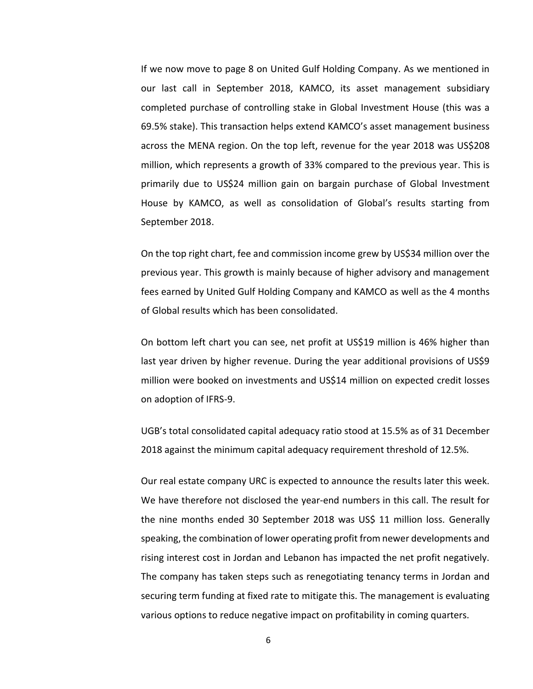If we now move to page 8 on United Gulf Holding Company. As we mentioned in our last call in September 2018, KAMCO, its asset management subsidiary completed purchase of controlling stake in Global Investment House (this was a 69.5% stake). This transaction helps extend KAMCO's asset management business across the MENA region. On the top left, revenue for the year 2018 was US\$208 million, which represents a growth of 33% compared to the previous year. This is primarily due to US\$24 million gain on bargain purchase of Global Investment House by KAMCO, as well as consolidation of Global's results starting from September 2018.

On the top right chart, fee and commission income grew by US\$34 million over the previous year. This growth is mainly because of higher advisory and management fees earned by United Gulf Holding Company and KAMCO as well as the 4 months of Global results which has been consolidated.

On bottom left chart you can see, net profit at US\$19 million is 46% higher than last year driven by higher revenue. During the year additional provisions of US\$9 million were booked on investments and US\$14 million on expected credit losses on adoption of IFRS-9.

UGB's total consolidated capital adequacy ratio stood at 15.5% as of 31 December 2018 against the minimum capital adequacy requirement threshold of 12.5%.

Our real estate company URC is expected to announce the results later this week. We have therefore not disclosed the year-end numbers in this call. The result for the nine months ended 30 September 2018 was US\$ 11 million loss. Generally speaking, the combination of lower operating profit from newer developments and rising interest cost in Jordan and Lebanon has impacted the net profit negatively. The company has taken steps such as renegotiating tenancy terms in Jordan and securing term funding at fixed rate to mitigate this. The management is evaluating various options to reduce negative impact on profitability in coming quarters.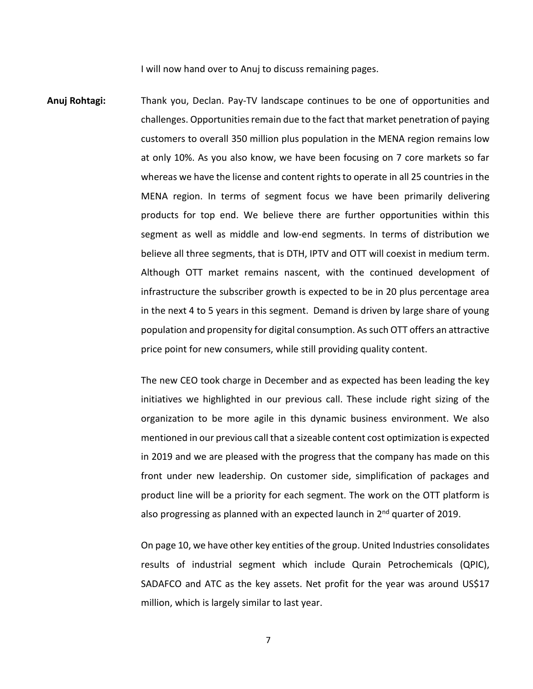I will now hand over to Anuj to discuss remaining pages.

**Anuj Rohtagi:** Thank you, Declan. Pay-TV landscape continues to be one of opportunities and challenges. Opportunities remain due to the fact that market penetration of paying customers to overall 350 million plus population in the MENA region remains low at only 10%. As you also know, we have been focusing on 7 core markets so far whereas we have the license and content rights to operate in all 25 countries in the MENA region. In terms of segment focus we have been primarily delivering products for top end. We believe there are further opportunities within this segment as well as middle and low-end segments. In terms of distribution we believe all three segments, that is DTH, IPTV and OTT will coexist in medium term. Although OTT market remains nascent, with the continued development of infrastructure the subscriber growth is expected to be in 20 plus percentage area in the next 4 to 5 years in this segment. Demand is driven by large share of young population and propensity for digital consumption. As such OTT offers an attractive price point for new consumers, while still providing quality content.

> The new CEO took charge in December and as expected has been leading the key initiatives we highlighted in our previous call. These include right sizing of the organization to be more agile in this dynamic business environment. We also mentioned in our previous call that a sizeable content cost optimization is expected in 2019 and we are pleased with the progress that the company has made on this front under new leadership. On customer side, simplification of packages and product line will be a priority for each segment. The work on the OTT platform is also progressing as planned with an expected launch in 2<sup>nd</sup> quarter of 2019.

> On page 10, we have other key entities of the group. United Industries consolidates results of industrial segment which include Qurain Petrochemicals (QPIC), SADAFCO and ATC as the key assets. Net profit for the year was around US\$17 million, which is largely similar to last year.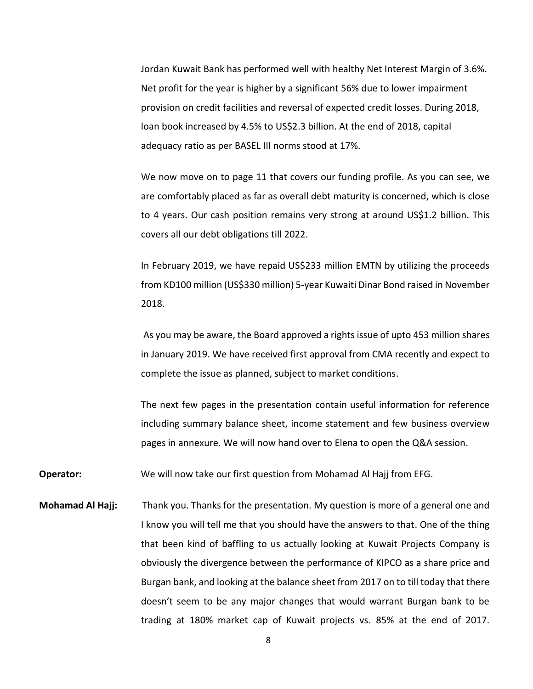Jordan Kuwait Bank has performed well with healthy Net Interest Margin of 3.6%. Net profit for the year is higher by a significant 56% due to lower impairment provision on credit facilities and reversal of expected credit losses. During 2018, loan book increased by 4.5% to US\$2.3 billion. At the end of 2018, capital adequacy ratio as per BASEL III norms stood at 17%.

We now move on to page 11 that covers our funding profile. As you can see, we are comfortably placed as far as overall debt maturity is concerned, which is close to 4 years. Our cash position remains very strong at around US\$1.2 billion. This covers all our debt obligations till 2022.

In February 2019, we have repaid US\$233 million EMTN by utilizing the proceeds from KD100 million (US\$330 million) 5-year Kuwaiti Dinar Bond raised in November 2018.

As you may be aware, the Board approved a rights issue of upto 453 million shares in January 2019. We have received first approval from CMA recently and expect to complete the issue as planned, subject to market conditions.

The next few pages in the presentation contain useful information for reference including summary balance sheet, income statement and few business overview pages in annexure. We will now hand over to Elena to open the Q&A session.

**Operator:** We will now take our first question from Mohamad Al Hajj from EFG.

**Mohamad Al Hajj:** Thank you. Thanks for the presentation. My question is more of a general one and I know you will tell me that you should have the answers to that. One of the thing that been kind of baffling to us actually looking at Kuwait Projects Company is obviously the divergence between the performance of KIPCO as a share price and Burgan bank, and looking at the balance sheet from 2017 on to till today that there doesn't seem to be any major changes that would warrant Burgan bank to be trading at 180% market cap of Kuwait projects vs. 85% at the end of 2017.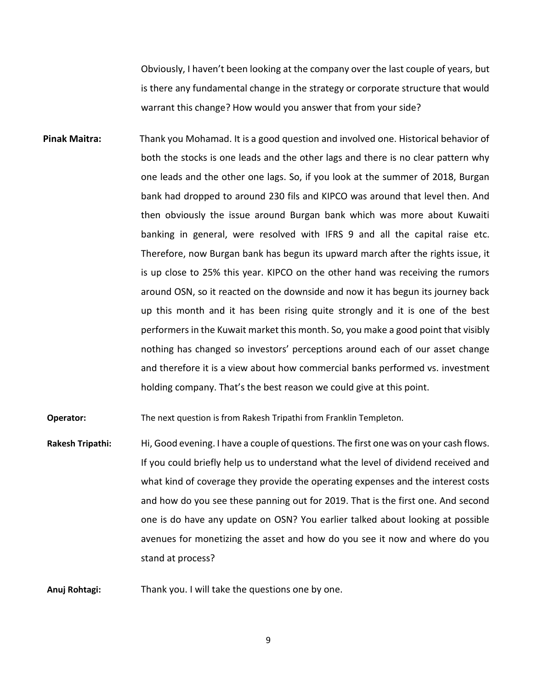Obviously, I haven't been looking at the company over the last couple of years, but is there any fundamental change in the strategy or corporate structure that would warrant this change? How would you answer that from your side?

**Pinak Maitra:** Thank you Mohamad. It is a good question and involved one. Historical behavior of both the stocks is one leads and the other lags and there is no clear pattern why one leads and the other one lags. So, if you look at the summer of 2018, Burgan bank had dropped to around 230 fils and KIPCO was around that level then. And then obviously the issue around Burgan bank which was more about Kuwaiti banking in general, were resolved with IFRS 9 and all the capital raise etc. Therefore, now Burgan bank has begun its upward march after the rights issue, it is up close to 25% this year. KIPCO on the other hand was receiving the rumors around OSN, so it reacted on the downside and now it has begun its journey back up this month and it has been rising quite strongly and it is one of the best performers in the Kuwait market this month. So, you make a good point that visibly nothing has changed so investors' perceptions around each of our asset change and therefore it is a view about how commercial banks performed vs. investment holding company. That's the best reason we could give at this point.

**Operator:** The next question is from Rakesh Tripathi from Franklin Templeton.

**Rakesh Tripathi:** Hi, Good evening. I have a couple of questions. The first one was on your cash flows. If you could briefly help us to understand what the level of dividend received and what kind of coverage they provide the operating expenses and the interest costs and how do you see these panning out for 2019. That is the first one. And second one is do have any update on OSN? You earlier talked about looking at possible avenues for monetizing the asset and how do you see it now and where do you stand at process?

**Anuj Rohtagi:** Thank you. I will take the questions one by one.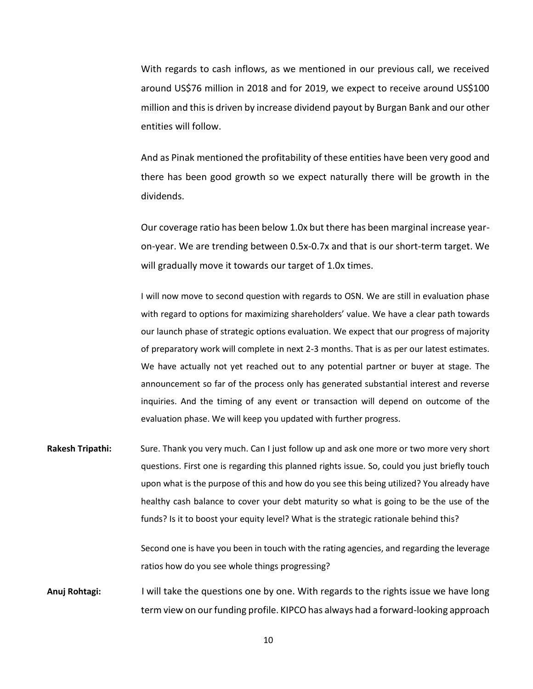With regards to cash inflows, as we mentioned in our previous call, we received around US\$76 million in 2018 and for 2019, we expect to receive around US\$100 million and this is driven by increase dividend payout by Burgan Bank and our other entities will follow.

And as Pinak mentioned the profitability of these entities have been very good and there has been good growth so we expect naturally there will be growth in the dividends.

Our coverage ratio has been below 1.0x but there has been marginal increase yearon-year. We are trending between 0.5x-0.7x and that is our short-term target. We will gradually move it towards our target of 1.0x times.

I will now move to second question with regards to OSN. We are still in evaluation phase with regard to options for maximizing shareholders' value. We have a clear path towards our launch phase of strategic options evaluation. We expect that our progress of majority of preparatory work will complete in next 2-3 months. That is as per our latest estimates. We have actually not yet reached out to any potential partner or buyer at stage. The announcement so far of the process only has generated substantial interest and reverse inquiries. And the timing of any event or transaction will depend on outcome of the evaluation phase. We will keep you updated with further progress.

**Rakesh Tripathi:** Sure. Thank you very much. Can I just follow up and ask one more or two more very short questions. First one is regarding this planned rights issue. So, could you just briefly touch upon what is the purpose of this and how do you see this being utilized? You already have healthy cash balance to cover your debt maturity so what is going to be the use of the funds? Is it to boost your equity level? What is the strategic rationale behind this?

> Second one is have you been in touch with the rating agencies, and regarding the leverage ratios how do you see whole things progressing?

**Anuj Rohtagi:** I will take the questions one by one. With regards to the rights issue we have long term view on our funding profile. KIPCO has always had a forward-looking approach